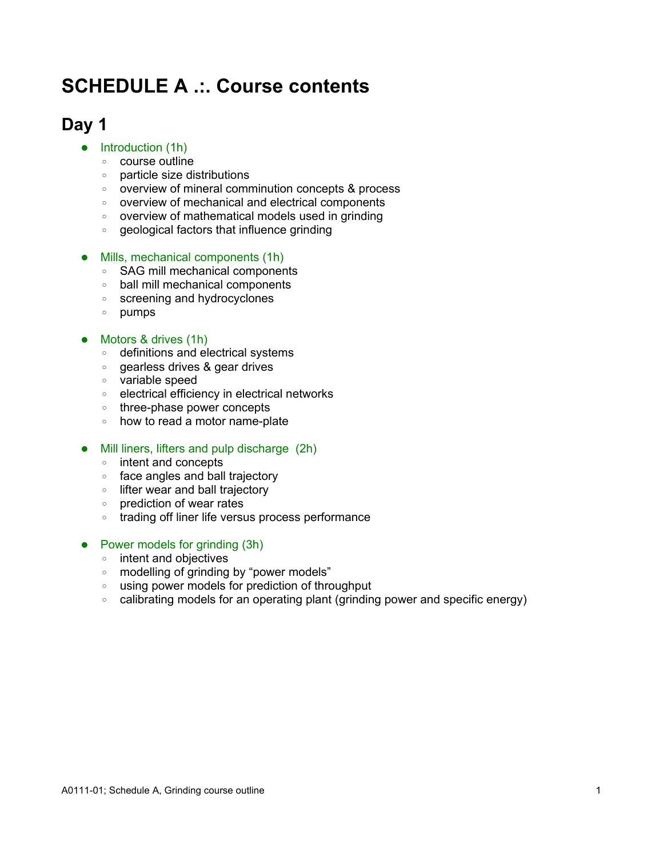# **SCHEDULE A .:. Course contents**

### **Day 1**

#### $\bullet$  Introduction (1h)

- course outline
- particle size distributions
- overview of mineral comminution concepts & process
- overview of mechanical and electrical components
- overview of mathematical models used in grinding
- geological factors that influence grinding

#### • Mills, mechanical components (1h)

- SAG mill mechanical components
- ball mill mechanical components
- screening and hydrocyclones
- pumps

#### • Motors & drives (1h)

- definitions and electrical systems
- gearless drives & gear drives
- variable speed
- electrical efficiency in electrical networks
- three-phase power concepts
- how to read a motor name-plate

#### • Mill liners, lifters and pulp discharge (2h)

- intent and concepts
- face angles and ball trajectory
- lifter wear and ball trajectory
- prediction of wear rates
- trading off liner life versus process performance

#### • Power models for grinding (3h)

- intent and objectives
- modelling of grinding by "power models"
- using power models for prediction of throughput
- calibrating models for an operating plant (grinding power and specific energy)